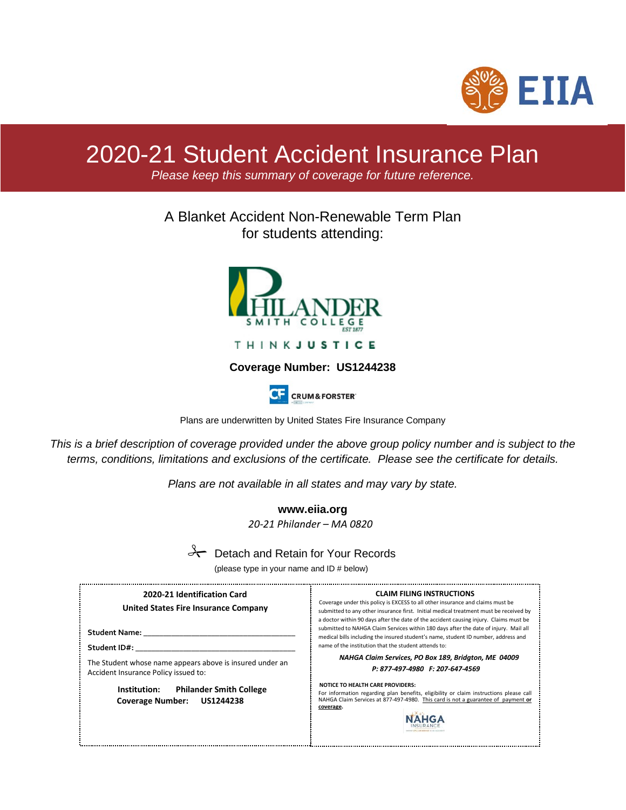

# 2020-21 Student Accident Insurance Plan

*Please keep this summary of coverage for future reference.*

# A Blanket Accident Non-Renewable Term Plan for students attending:



**THINKJUSTICE** 

# **Coverage Number: US1244238**



Plans are underwritten by United States Fire Insurance Company

*This is a brief description of coverage provided under the above group policy number and is subject to the terms, conditions, limitations and exclusions of the certificate. Please see the certificate for details.* 

*Plans are not available in all states and may vary by state.*

**www.eiia.org** *20-21 Philander – MA 0820*

# $\rightarrow$  Detach and Retain for Your Records

(please type in your name and ID # below)

| 2020-21 Identification Card<br>United States Fire Insurance Company | <b>CLAIM FILING INSTRUCTIONS</b><br>Coverage under this policy is EXCESS to all other insurance and claims must be<br>submitted to any other insurance first. Initial medical treatment must be received by                                                                                                                 |  |
|---------------------------------------------------------------------|-----------------------------------------------------------------------------------------------------------------------------------------------------------------------------------------------------------------------------------------------------------------------------------------------------------------------------|--|
| Student Name:<br>Student ID#:                                       | a doctor within 90 days after the date of the accident causing injury. Claims must be<br>submitted to NAHGA Claim Services within 180 days after the date of injury. Mail all<br>medical bills including the insured student's name, student ID number, address and<br>name of the institution that the student attends to: |  |
| The Student whose name appears above is insured under an            | NAHGA Claim Services, PO Box 189, Bridgton, ME 04009                                                                                                                                                                                                                                                                        |  |
| Accident Insurance Policy issued to:                                | P: 877-497-4980 F: 207-647-4569                                                                                                                                                                                                                                                                                             |  |
| Institution:                                                        | <b>NOTICE TO HEALTH CARE PROVIDERS:</b>                                                                                                                                                                                                                                                                                     |  |
| <b>Philander Smith College</b>                                      | For information regarding plan benefits, eligibility or claim instructions please call                                                                                                                                                                                                                                      |  |
| <b>Coverage Number:</b>                                             | NAHGA Claim Services at 877-497-4980. This card is not a guarantee of payment or                                                                                                                                                                                                                                            |  |
| <b>US1244238</b>                                                    | coverage.                                                                                                                                                                                                                                                                                                                   |  |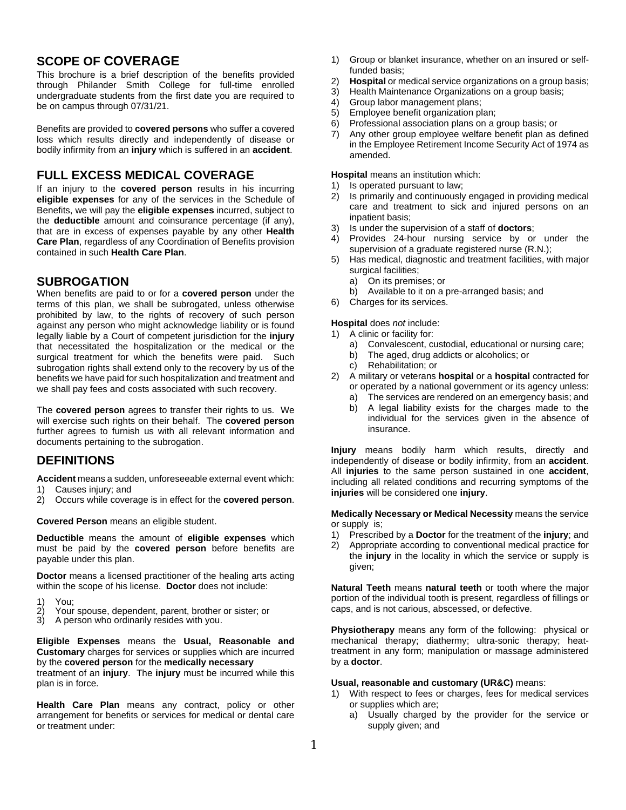# **SCOPE OF COVERAGE**

This brochure is a brief description of the benefits provided through Philander Smith College for full-time enrolled undergraduate students from the first date you are required to be on campus through 07/31/21.

Benefits are provided to **covered persons** who suffer a covered loss which results directly and independently of disease or bodily infirmity from an **injury** which is suffered in an **accident**.

# **FULL EXCESS MEDICAL COVERAGE**

If an injury to the **covered person** results in his incurring **eligible expenses** for any of the services in the Schedule of Benefits, we will pay the **eligible expenses** incurred, subject to the **deductible** amount and coinsurance percentage (if any), that are in excess of expenses payable by any other **Health Care Plan**, regardless of any Coordination of Benefits provision contained in such **Health Care Plan**.

# **SUBROGATION**

When benefits are paid to or for a **covered person** under the terms of this plan, we shall be subrogated, unless otherwise prohibited by law, to the rights of recovery of such person against any person who might acknowledge liability or is found legally liable by a Court of competent jurisdiction for the **injury** that necessitated the hospitalization or the medical or the surgical treatment for which the benefits were paid. Such subrogation rights shall extend only to the recovery by us of the benefits we have paid for such hospitalization and treatment and we shall pay fees and costs associated with such recovery.

The **covered person** agrees to transfer their rights to us. We will exercise such rights on their behalf. The **covered person**  further agrees to furnish us with all relevant information and documents pertaining to the subrogation.

# **DEFINITIONS**

**Accident** means a sudden, unforeseeable external event which:

- 1) Causes injury; and<br>2) Occurs while cover
- 2) Occurs while coverage is in effect for the **covered person**.

**Covered Person** means an eligible student.

**Deductible** means the amount of **eligible expenses** which must be paid by the **covered person** before benefits are payable under this plan.

**Doctor** means a licensed practitioner of the healing arts acting within the scope of his license. **Doctor** does not include:

- 
- 1) You;<br>2) Your<br>3) A pe Your spouse, dependent, parent, brother or sister; or
- 3) A person who ordinarily resides with you.

**Eligible Expenses** means the **Usual, Reasonable and Customary** charges for services or supplies which are incurred by the **covered person** for the **medically necessary**

treatment of an **injury**. The **injury** must be incurred while this plan is in force.

**Health Care Plan** means any contract, policy or other arrangement for benefits or services for medical or dental care or treatment under:

- 1) Group or blanket insurance, whether on an insured or selffunded basis;
- 2) **Hospital** or medical service organizations on a group basis;
- 3) Health Maintenance Organizations on a group basis;
- 4) Group labor management plans;<br>5) Employee benefit organization pl
- 5) Employee benefit organization plan;
- 6) Professional association plans on a group basis; or
- 7) Any other group employee welfare benefit plan as defined in the Employee Retirement Income Security Act of 1974 as amended.

**Hospital** means an institution which:

- 1) Is operated pursuant to law;<br>2) Is primarily and continuously
- Is primarily and continuously engaged in providing medical care and treatment to sick and injured persons on an inpatient basis;
- 3) Is under the supervision of a staff of **doctors**;
- 4) Provides 24-hour nursing service by or under the supervision of a graduate registered nurse (R.N.);
- 5) Has medical, diagnostic and treatment facilities, with major surgical facilities;
	- a) On its premises; or
	- b) Available to it on a pre-arranged basis; and
- 6) Charges for its services.

**Hospital** does *not* include:

1) A clinic or facility for:

- a) Convalescent, custodial, educational or nursing care;
- b) The aged, drug addicts or alcoholics; or
- c) Rehabilitation; or
- 2) A military or veterans **hospital** or a **hospital** contracted for or operated by a national government or its agency unless:
	- a) The services are rendered on an emergency basis; and
	- b) A legal liability exists for the charges made to the individual for the services given in the absence of insurance.

**Injury** means bodily harm which results, directly and independently of disease or bodily infirmity, from an **accident**. All **injuries** to the same person sustained in one **accident**, including all related conditions and recurring symptoms of the **injuries** will be considered one **injury**.

**Medically Necessary or Medical Necessity** means the service or supply is;

- 1) Prescribed by a **Doctor** for the treatment of the **injury**; and
- 2) Appropriate according to conventional medical practice for the **injury** in the locality in which the service or supply is given;

**Natural Teeth** means **natural teeth** or tooth where the major portion of the individual tooth is present, regardless of fillings or caps, and is not carious, abscessed, or defective.

**Physiotherapy** means any form of the following: physical or mechanical therapy; diathermy; ultra-sonic therapy; heattreatment in any form; manipulation or massage administered by a **doctor**.

#### **Usual, reasonable and customary (UR&C)** means:

- 1) With respect to fees or charges, fees for medical services or supplies which are;
	- a) Usually charged by the provider for the service or supply given; and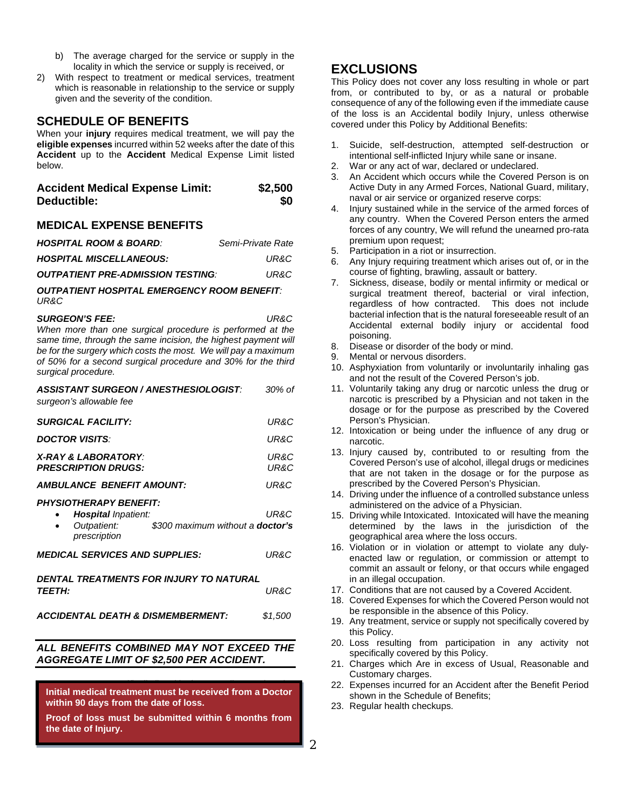- b) The average charged for the service or supply in the locality in which the service or supply is received, or
- 2) With respect to treatment or medical services, treatment which is reasonable in relationship to the service or supply given and the severity of the condition.

### **SCHEDULE OF BENEFITS**

When your **injury** requires medical treatment, we will pay the **eligible expenses** incurred within 52 weeks after the date of this **Accident** up to the **Accident** Medical Expense Limit listed below.

| <b>Accident Medical Expense Limit:</b> | \$2,500 |
|----------------------------------------|---------|
| Deductible:                            | \$0     |

#### **MEDICAL EXPENSE BENEFITS**

| <b>HOSPITAL ROOM &amp; BOARD:</b>        | Semi-Private Rate |
|------------------------------------------|-------------------|
| <b>HOSPITAL MISCELLANEOUS:</b>           | UR&C              |
| <b>OUTPATIENT PRE-ADMISSION TESTING:</b> | UR&C              |

*OUTPATIENT HOSPITAL EMERGENCY ROOM BENEFIT: UR&C*

*SURGEON'S FEE: UR&C*

*When more than one surgical procedure is performed at the same time, through the same incision, the highest payment will be for the surgery which costs the most. We will pay a maximum of 50% for a second surgical procedure and 30% for the third surgical procedure.*

| ASSISTANT SURGEON / ANESTHESIOLOGIST:<br>surgeon's allowable fee                                                                      | 30% of          |  |
|---------------------------------------------------------------------------------------------------------------------------------------|-----------------|--|
| <b>SURGICAL FACILITY:</b>                                                                                                             | UR&C            |  |
| <b>DOCTOR VISITS:</b>                                                                                                                 | UR&C            |  |
| <b>X-RAY &amp; LABORATORY:</b><br><b>PRESCRIPTION DRUGS:</b>                                                                          | UR&C<br>UR&C    |  |
| <b>AMBULANCE BENEFIT AMOUNT:</b>                                                                                                      | UR&C            |  |
| <b>PHYSIOTHERAPY BENEFIT:</b><br><b>Hospital</b> Inpatient:<br>Outpatient:<br>\$300 maximum without a <b>doctor's</b><br>prescription | UR&C            |  |
| <b>MEDICAL SERVICES AND SUPPLIES:</b>                                                                                                 | UR&C            |  |
| DENTAL TREATMENTS FOR INJURY TO NATURAL<br><i><b>TEETH:</b></i><br><b>ACCIDENTAL DEATH &amp; DISMEMBERMENT:</b>                       | UR&C<br>\$1,500 |  |
|                                                                                                                                       |                 |  |
| ALL BENEFITS COMBINED MAY NOT EXCEED THE                                                                                              |                 |  |

# *ALL BENEFITS COMBINED MAY NOT EXCEED THE*

*AGGREGATE LIMIT OF \$2,500 PER ACCIDENT.*

Any expectifically listed in the preceding section is the preceding sections in the preceding sections is sections in the preceding sections is the preceding section of  $\mathcal{L}_\text{max}$ **Initial medical treatment must be received from a Doctor within 90 days from the date of loss.** 

**Proof of loss must be submitted within 6 months from the date of Injury.**

# **EXCLUSIONS**

This Policy does not cover any loss resulting in whole or part from, or contributed to by, or as a natural or probable consequence of any of the following even if the immediate cause of the loss is an Accidental bodily Injury, unless otherwise covered under this Policy by Additional Benefits:

- 1. Suicide, self-destruction, attempted self-destruction or intentional self-inflicted Injury while sane or insane.
- 2. War or any act of war, declared or undeclared.
- 3. An Accident which occurs while the Covered Person is on Active Duty in any Armed Forces, National Guard, military, naval or air service or organized reserve corps:
- 4. Injury sustained while in the service of the armed forces of any country. When the Covered Person enters the armed forces of any country, We will refund the unearned pro-rata premium upon request;
- 5. Participation in a riot or insurrection.
- 6. Any Injury requiring treatment which arises out of, or in the course of fighting, brawling, assault or battery.
- 7. Sickness, disease, bodily or mental infirmity or medical or surgical treatment thereof, bacterial or viral infection, regardless of how contracted. This does not include bacterial infection that is the natural foreseeable result of an Accidental external bodily injury or accidental food poisoning.
- 8. Disease or disorder of the body or mind.<br>9. Mental or nervous disorders.
- Mental or nervous disorders.
- 10. Asphyxiation from voluntarily or involuntarily inhaling gas and not the result of the Covered Person's job.
- 11. Voluntarily taking any drug or narcotic unless the drug or narcotic is prescribed by a Physician and not taken in the dosage or for the purpose as prescribed by the Covered Person's Physician.
- 12. Intoxication or being under the influence of any drug or narcotic.
- 13. Injury caused by, contributed to or resulting from the Covered Person's use of alcohol, illegal drugs or medicines that are not taken in the dosage or for the purpose as prescribed by the Covered Person's Physician.
- 14. Driving under the influence of a controlled substance unless administered on the advice of a Physician.
- 15. Driving while Intoxicated. Intoxicated will have the meaning determined by the laws in the jurisdiction of the geographical area where the loss occurs.
- 16. Violation or in violation or attempt to violate any dulyenacted law or regulation, or commission or attempt to commit an assault or felony, or that occurs while engaged in an illegal occupation.
- 17. Conditions that are not caused by a Covered Accident.
- 18. Covered Expenses for which the Covered Person would not be responsible in the absence of this Policy.
- 19. Any treatment, service or supply not specifically covered by this Policy.
- 20. Loss resulting from participation in any activity not specifically covered by this Policy.
- 21. Charges which Are in excess of Usual, Reasonable and Customary charges.
- 22. Expenses incurred for an Accident after the Benefit Period shown in the Schedule of Benefits;
- 23. Regular health checkups.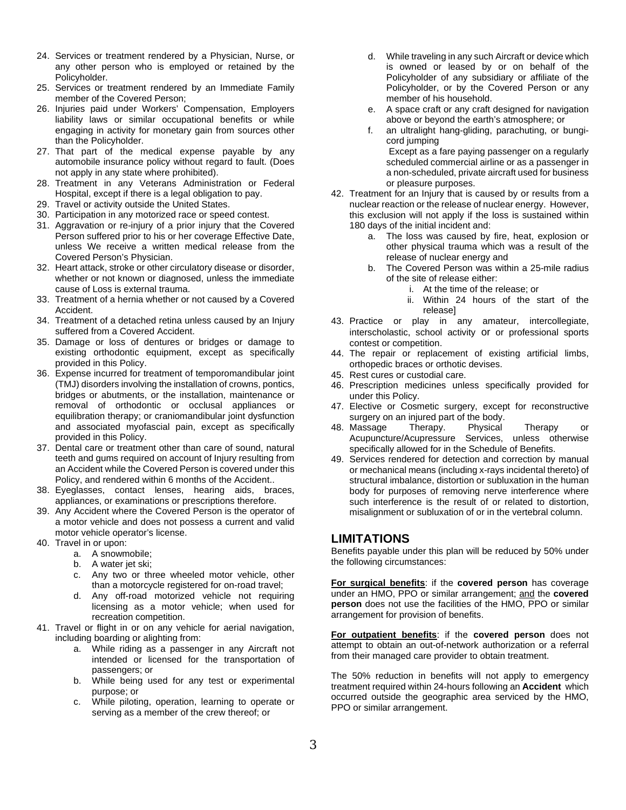- 24. Services or treatment rendered by a Physician, Nurse, or any other person who is employed or retained by the Policyholder.
- 25. Services or treatment rendered by an Immediate Family member of the Covered Person;
- 26. Injuries paid under Workers' Compensation, Employers liability laws or similar occupational benefits or while engaging in activity for monetary gain from sources other than the Policyholder.
- 27. That part of the medical expense payable by any automobile insurance policy without regard to fault. (Does not apply in any state where prohibited).
- 28. Treatment in any Veterans Administration or Federal Hospital, except if there is a legal obligation to pay.
- 29. Travel or activity outside the United States.
- 30. Participation in any motorized race or speed contest.
- 31. Aggravation or re-injury of a prior injury that the Covered Person suffered prior to his or her coverage Effective Date, unless We receive a written medical release from the Covered Person's Physician.
- 32. Heart attack, stroke or other circulatory disease or disorder, whether or not known or diagnosed, unless the immediate cause of Loss is external trauma.
- 33. Treatment of a hernia whether or not caused by a Covered Accident.
- 34. Treatment of a detached retina unless caused by an Injury suffered from a Covered Accident.
- 35. Damage or loss of dentures or bridges or damage to existing orthodontic equipment, except as specifically provided in this Policy.
- 36. Expense incurred for treatment of temporomandibular joint (TMJ) disorders involving the installation of crowns, pontics, bridges or abutments, or the installation, maintenance or removal of orthodontic or occlusal appliances or equilibration therapy; or craniomandibular joint dysfunction and associated myofascial pain, except as specifically provided in this Policy.
- 37. Dental care or treatment other than care of sound, natural teeth and gums required on account of Injury resulting from an Accident while the Covered Person is covered under this Policy, and rendered within 6 months of the Accident..
- 38. Eyeglasses, contact lenses, hearing aids, braces, appliances, or examinations or prescriptions therefore.
- 39. Any Accident where the Covered Person is the operator of a motor vehicle and does not possess a current and valid motor vehicle operator's license.
- 40. Travel in or upon:
	- a. A snowmobile;
		- b. A water jet ski:
		- c. Any two or three wheeled motor vehicle, other than a motorcycle registered for on-road travel;
		- d. Any off-road motorized vehicle not requiring licensing as a motor vehicle; when used for recreation competition.
- 41. Travel or flight in or on any vehicle for aerial navigation, including boarding or alighting from:
	- a. While riding as a passenger in any Aircraft not intended or licensed for the transportation of passengers; or
	- b. While being used for any test or experimental purpose; or
	- c. While piloting, operation, learning to operate or serving as a member of the crew thereof; or
- d. While traveling in any such Aircraft or device which is owned or leased by or on behalf of the Policyholder of any subsidiary or affiliate of the Policyholder, or by the Covered Person or any member of his household.
- e. A space craft or any craft designed for navigation above or beyond the earth's atmosphere; or
- f. an ultralight hang-gliding, parachuting, or bungicord jumping Except as a fare paying passenger on a regularly scheduled commercial airline or as a passenger in a non-scheduled, private aircraft used for business or pleasure purposes.
- 42. Treatment for an Injury that is caused by or results from a nuclear reaction or the release of nuclear energy. However, this exclusion will not apply if the loss is sustained within 180 days of the initial incident and:
	- a. The loss was caused by fire, heat, explosion or other physical trauma which was a result of the release of nuclear energy and
	- b. The Covered Person was within a 25-mile radius of the site of release either:
		- i. At the time of the release; or
		- ii. Within 24 hours of the start of the release]
- 43. Practice or play in any amateur, intercollegiate, interscholastic, school activity or or professional sports contest or competition.
- 44. The repair or replacement of existing artificial limbs, orthopedic braces or orthotic devises.
- 45. Rest cures or custodial care.
- 46. Prescription medicines unless specifically provided for under this Policy.
- 47. Elective or Cosmetic surgery, except for reconstructive surgery on an injured part of the body.
- 48. Massage Therapy. Physical Therapy or Services, unless otherwise specifically allowed for in the Schedule of Benefits.
- 49. Services rendered for detection and correction by manual or mechanical means (including x-rays incidental thereto} of structural imbalance, distortion or subluxation in the human body for purposes of removing nerve interference where such interference is the result of or related to distortion, misalignment or subluxation of or in the vertebral column.

### **LIMITATIONS**

Benefits payable under this plan will be reduced by 50% under the following circumstances:

**For surgical benefits**: if the **covered person** has coverage under an HMO, PPO or similar arrangement; and the **covered person** does not use the facilities of the HMO, PPO or similar arrangement for provision of benefits.

**For outpatient benefits**: if the **covered person** does not attempt to obtain an out-of-network authorization or a referral from their managed care provider to obtain treatment.

The 50% reduction in benefits will not apply to emergency treatment required within 24-hours following an **Accident** which occurred outside the geographic area serviced by the HMO, PPO or similar arrangement.